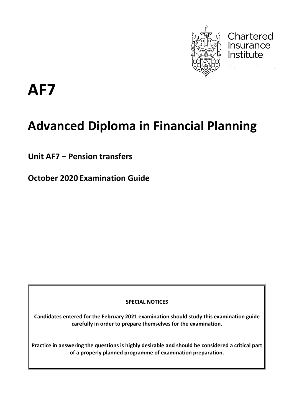

Chartered Insurance Institute

**AF7**

# **Advanced Diploma in Financial Planning**

**Unit AF7 – Pension transfers**

**October 2020 Examination Guide**

**SPECIAL NOTICES**

**Candidates entered for the February 2021 examination should study this examination guide carefully in order to prepare themselves for the examination.**

**Practice in answering the questions is highly desirable and should be considered a critical part of a properly planned programme of examination preparation.**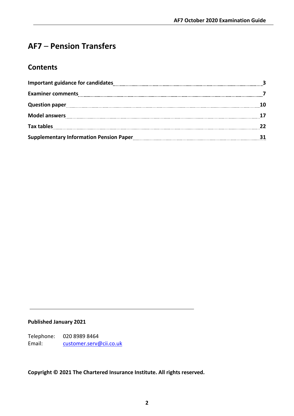### **AF7** – **Pension Transfers**

### **Contents**

| <b>Examiner comments</b>                                                                                                                                        |    |
|-----------------------------------------------------------------------------------------------------------------------------------------------------------------|----|
|                                                                                                                                                                 |    |
|                                                                                                                                                                 |    |
|                                                                                                                                                                 |    |
| Supplementary Information Pension Paper<br>1990 - Campion Communication Density Paper<br>2001 - Capacitan Indiana International Information International Paper | 31 |

#### **Published January 2021**

Telephone: 020 8989 8464 Email: [customer.serv@cii.co.uk](mailto:customer.serv@cii.co.uk)

**Copyright © 2021 The Chartered Insurance Institute. All rights reserved.**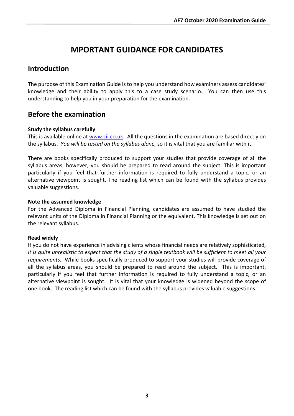### **MPORTANT GUIDANCE FOR CANDIDATES**

### **Introduction**

The purpose of this Examination Guide is to help you understand how examiners assess candidates' knowledge and their ability to apply this to a case study scenario. You can then use this understanding to help you in your preparation for the examination.

### **Before the examination**

#### **Study the syllabus carefully**

This is available online at [www.cii.co.uk.](http://www.cii.co.uk/) All the questions in the examination are based directly on the syllabus. *You will be tested on the syllabus alone,* so it is vital that you are familiar with it.

There are books specifically produced to support your studies that provide coverage of all the syllabus areas; however, you should be prepared to read around the subject. This is important particularly if you feel that further information is required to fully understand a topic, or an alternative viewpoint is sought. The reading list which can be found with the syllabus provides valuable suggestions.

#### **Note the assumed knowledge**

For the Advanced Diploma in Financial Planning, candidates are assumed to have studied the relevant units of the Diploma in Financial Planning or the equivalent. This knowledge is set out on the relevant syllabus.

#### **Read widely**

If you do not have experience in advising clients whose financial needs are relatively sophisticated, *it is quite unrealistic to expect that the study of a single textbook will be sufficient to meet all your requirements.* While books specifically produced to support your studies will provide coverage of all the syllabus areas, you should be prepared to read around the subject. This is important, particularly if you feel that further information is required to fully understand a topic, or an alternative viewpoint is sought. It is vital that your knowledge is widened beyond the scope of one book. The reading list which can be found with the syllabus provides valuable suggestions.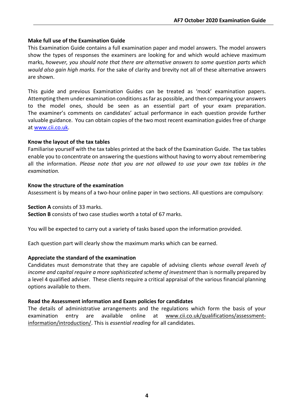#### **Make full use of the Examination Guide**

This Examination Guide contains a full examination paper and model answers. The model answers show the types of responses the examiners are looking for and which would achieve maximum marks, *however, you should note that there are alternative answers to some question parts which would also gain high marks.* For the sake of clarity and brevity not all of these alternative answers are shown.

This guide and previous Examination Guides can be treated as 'mock' examination papers. Attempting them under examination conditions as far as possible, and then comparing your answers to the model ones, should be seen as an essential part of your exam preparation. The examiner's comments on candidates' actual performance in each question provide further valuable guidance. You can obtain copies of the two most recent examination guides free of charge at [www.cii.co.uk.](http://www.cii.co.uk/)

#### **Know the layout of the tax tables**

Familiarise yourself with the tax tables printed at the back of the Examination Guide. The tax tables enable you to concentrate on answering the questions without having to worry about remembering all the information. *Please note that you are not allowed to use your own tax tables in the examination.*

#### **Know the structure of the examination**

Assessment is by means of a two-hour online paper in two sections. All questions are compulsory:

#### **Section A** consists of 33 marks.

**Section B** consists of two case studies worth a total of 67 marks.

You will be expected to carry out a variety of tasks based upon the information provided.

Each question part will clearly show the maximum marks which can be earned.

#### **Appreciate the standard of the examination**

Candidates must demonstrate that they are capable of advising clients *whose overall levels of income and capital require a more sophisticated scheme of investment* than is normally prepared by a level 4 qualified adviser. These clients require a critical appraisal of the various financial planning options available to them.

#### **Read the Assessment information and Exam policies for candidates**

The details of administrative arrangements and the regulations which form the basis of your examination entry are available online at [www.cii.co.uk/qualifications/assessment](http://www.cii.co.uk/qualifications/assessment-information/introduction/)[information/introduction/.](http://www.cii.co.uk/qualifications/assessment-information/introduction/) This is *essential reading* for all candidates.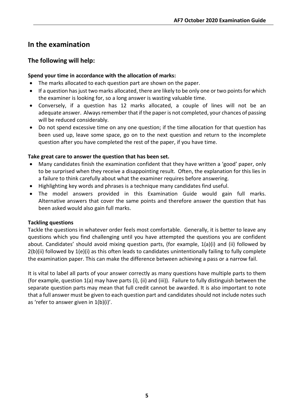### **In the examination**

#### **The following will help:**

#### **Spend your time in accordance with the allocation of marks:**

- The marks allocated to each question part are shown on the paper.
- If a question has just two marks allocated, there are likely to be only one or two points for which the examiner is looking for, so a long answer is wasting valuable time.
- Conversely, if a question has 12 marks allocated, a couple of lines will not be an adequate answer. Always remember that if the paper is not completed, your chances of passing will be reduced considerably.
- Do not spend excessive time on any one question; if the time allocation for that question has been used up, leave some space, go on to the next question and return to the incomplete question after you have completed the rest of the paper, if you have time.

#### **Take great care to answer the question that has been set.**

- Many candidates finish the examination confident that they have written a 'good' paper, only to be surprised when they receive a disappointing result. Often, the explanation for this lies in a failure to think carefully about what the examiner requires before answering.
- Highlighting key words and phrases is a technique many candidates find useful.
- The model answers provided in this Examination Guide would gain full marks. Alternative answers that cover the same points and therefore answer the question that has been asked would also gain full marks.

#### **Tackling questions**

Tackle the questions in whatever order feels most comfortable. Generally, it is better to leave any questions which you find challenging until you have attempted the questions you are confident about. Candidates' should avoid mixing question parts, (for example, 1(a)(i) and (ii) followed by 2(b)(ii) followed by 1(e)(i) as this often leads to candidates unintentionally failing to fully complete the examination paper. This can make the difference between achieving a pass or a narrow fail.

It is vital to label all parts of your answer correctly as many questions have multiple parts to them (for example, question 1(a) may have parts (i), (ii) and (iii)). Failure to fully distinguish between the separate question parts may mean that full credit cannot be awarded. It is also important to note that a full answer must be given to each question part and candidates should not include notes such as 'refer to answer given in 1(b)(i)'.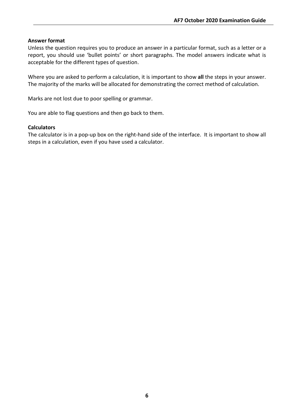#### **Answer format**

Unless the question requires you to produce an answer in a particular format, such as a letter or a report, you should use 'bullet points' or short paragraphs. The model answers indicate what is acceptable for the different types of question.

Where you are asked to perform a calculation, it is important to show **all** the steps in your answer. The majority of the marks will be allocated for demonstrating the correct method of calculation.

Marks are not lost due to poor spelling or grammar.

You are able to flag questions and then go back to them.

#### **Calculators**

The calculator is in a pop-up box on the right-hand side of the interface. It is important to show all steps in a calculation, even if you have used a calculator.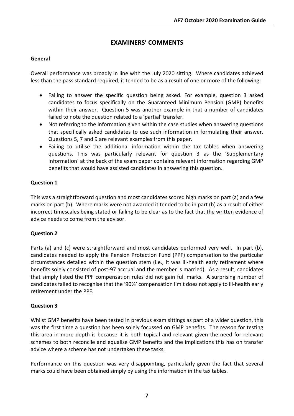### **EXAMINERS' COMMENTS**

#### **General**

Overall performance was broadly in line with the July 2020 sitting. Where candidates achieved less than the pass standard required, it tended to be as a result of one or more of the following:

- Failing to answer the specific question being asked. For example, question 3 asked candidates to focus specifically on the Guaranteed Minimum Pension (GMP) benefits within their answer. Question 5 was another example in that a number of candidates failed to note the question related to a 'partial' transfer.
- Not referring to the information given within the case studies when answering questions that specifically asked candidates to use such information in formulating their answer. Questions 5, 7 and 9 are relevant examples from this paper.
- Failing to utilise the additional information within the tax tables when answering questions. This was particularly relevant for question 3 as the 'Supplementary Information' at the back of the exam paper contains relevant information regarding GMP benefits that would have assisted candidates in answering this question.

#### **Question 1**

This was a straightforward question and most candidates scored high marks on part (a) and a few marks on part (b). Where marks were not awarded it tended to be in part (b) as a result of either incorrect timescales being stated or failing to be clear as to the fact that the written evidence of advice needs to come from the advisor.

#### **Question 2**

Parts (a) and (c) were straightforward and most candidates performed very well. In part (b), candidates needed to apply the Pension Protection Fund (PPF) compensation to the particular circumstances detailed within the question stem (i.e., it was ill-health early retirement where benefits solely consisted of post-97 accrual and the member is married). As a result, candidates that simply listed the PPF compensation rules did not gain full marks. A surprising number of candidates failed to recognise that the '90%' compensation limit does not apply to ill-health early retirement under the PPF.

#### **Question 3**

Whilst GMP benefits have been tested in previous exam sittings as part of a wider question, this was the first time a question has been solely focussed on GMP benefits. The reason for testing this area in more depth is because it is both topical and relevant given the need for relevant schemes to both reconcile and equalise GMP benefits and the implications this has on transfer advice where a scheme has not undertaken these tasks.

Performance on this question was very disappointing, particularly given the fact that several marks could have been obtained simply by using the information in the tax tables.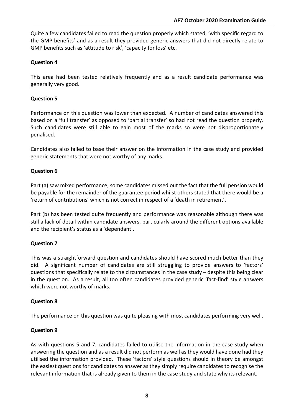Quite a few candidates failed to read the question properly which stated, 'with specific regard to the GMP benefits' and as a result they provided generic answers that did not directly relate to GMP benefits such as 'attitude to risk', 'capacity for loss' etc.

#### **Question 4**

This area had been tested relatively frequently and as a result candidate performance was generally very good.

#### **Question 5**

Performance on this question was lower than expected. A number of candidates answered this based on a 'full transfer' as opposed to 'partial transfer' so had not read the question properly. Such candidates were still able to gain most of the marks so were not disproportionately penalised.

Candidates also failed to base their answer on the information in the case study and provided generic statements that were not worthy of any marks.

#### **Question 6**

Part (a) saw mixed performance, some candidates missed out the fact that the full pension would be payable for the remainder of the guarantee period whilst others stated that there would be a 'return of contributions' which is not correct in respect of a 'death in retirement'.

Part (b) has been tested quite frequently and performance was reasonable although there was still a lack of detail within candidate answers, particularly around the different options available and the recipient's status as a 'dependant'.

#### **Question 7**

This was a straightforward question and candidates should have scored much better than they did. A significant number of candidates are still struggling to provide answers to 'factors' questions that specifically relate to the circumstances in the case study – despite this being clear in the question. As a result, all too often candidates provided generic 'fact-find' style answers which were not worthy of marks.

#### **Question 8**

The performance on this question was quite pleasing with most candidates performing very well.

#### **Question 9**

As with questions 5 and 7, candidates failed to utilise the information in the case study when answering the question and as a result did not perform as well as they would have done had they utilised the information provided. These 'factors' style questions should in theory be amongst the easiest questions for candidates to answer as they simply require candidates to recognise the relevant information that is already given to them in the case study and state why its relevant.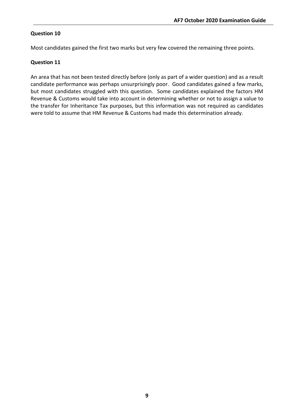#### **Question 10**

Most candidates gained the first two marks but very few covered the remaining three points.

#### **Question 11**

An area that has not been tested directly before (only as part of a wider question) and as a result candidate performance was perhaps unsurprisingly poor. Good candidates gained a few marks, but most candidates struggled with this question. Some candidates explained the factors HM Revenue & Customs would take into account in determining whether or not to assign a value to the transfer for Inheritance Tax purposes, but this information was not required as candidates were told to assume that HM Revenue & Customs had made this determination already.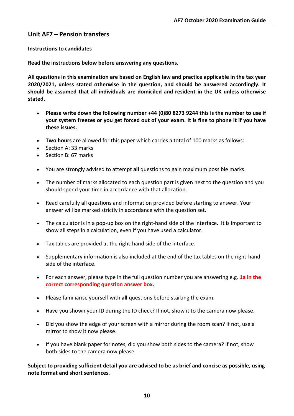#### **Unit AF7 – Pension transfers**

#### **Instructions to candidates**

**Read the instructions below before answering any questions.**

**All questions in this examination are based on English law and practice applicable in the tax year 2020/2021, unless stated otherwise in the question, and should be answered accordingly. It should be assumed that all individuals are domiciled and resident in the UK unless otherwise stated.**

- **Please write down the following number +44 (0)80 8273 9244 this is the number to use if your system freezes or you get forced out of your exam. It is fine to phone it if you have these issues.**
- **Two hours** are allowed for this paper which carries a total of 100 marks as follows:
- Section A: 33 marks
- Section B: 67 marks
- You are strongly advised to attempt **all** questions to gain maximum possible marks.
- The number of marks allocated to each question part is given next to the question and you should spend your time in accordance with that allocation.
- Read carefully all questions and information provided before starting to answer. Your answer will be marked strictly in accordance with the question set.
- The calculator is in a pop-up box on the right-hand side of the interface. It is important to show all steps in a calculation, even if you have used a calculator.
- Tax tables are provided at the right-hand side of the interface.
- Supplementary information is also included at the end of the tax tables on the right-hand side of the interface.
- For each answer, please type in the full question number you are answering e.g. **1a in the correct corresponding question answer box.**
- Please familiarise yourself with **all** questions before starting the exam.
- Have you shown your ID during the ID check? If not, show it to the camera now please.
- Did you show the edge of your screen with a mirror during the room scan? If not, use a mirror to show it now please.
- If you have blank paper for notes, did you show both sides to the camera? If not, show both sides to the camera now please.

**Subject to providing sufficient detail you are advised to be as brief and concise as possible, using note format and short sentences.**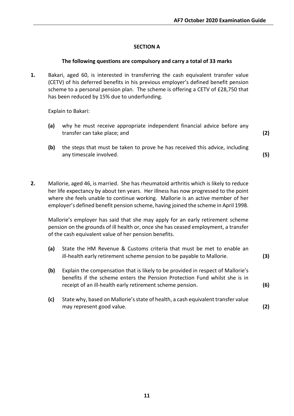#### **SECTION A**

#### **The following questions are compulsory and carry a total of 33 marks**

**1.** Bakari, aged 60, is interested in transferring the cash equivalent transfer value (CETV) of his deferred benefits in his previous employer's defined benefit pension scheme to a personal pension plan. The scheme is offering a CETV of £28,750 that has been reduced by 15% due to underfunding.

Explain to Bakari:

- **(a)** why he must receive appropriate independent financial advice before any transfer can take place; and **(2)**
- **(b)** the steps that must be taken to prove he has received this advice, including any timescale involved. **(5)**
- **2.** Mallorie, aged 46, is married. She has rheumatoid arthritis which is likely to reduce her life expectancy by about ten years. Her illness has now progressed to the point where she feels unable to continue working. Mallorie is an active member of her employer's defined benefit pension scheme, having joined the scheme in April 1998.

Mallorie's employer has said that she may apply for an early retirement scheme pension on the grounds of ill health or, once she has ceased employment, a transfer of the cash equivalent value of her pension benefits.

- **(a)** State the HM Revenue & Customs criteria that must be met to enable an ill-health early retirement scheme pension to be payable to Mallorie. **(3)**
- **(b)** Explain the compensation that is likely to be provided in respect of Mallorie's benefits if the scheme enters the Pension Protection Fund whilst she is in receipt of an ill-health early retirement scheme pension. **(6)**
- **(c)** State why, based on Mallorie's state of health, a cash equivalent transfer value may represent good value. **(2)**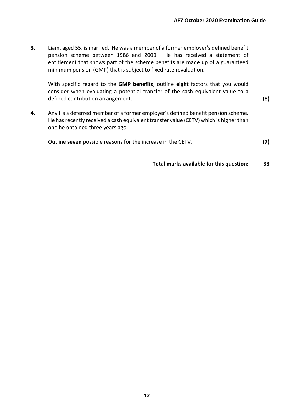**3.** Liam, aged 55, is married. He was a member of a former employer's defined benefit pension scheme between 1986 and 2000. He has received a statement of entitlement that shows part of the scheme benefits are made up of a guaranteed minimum pension (GMP) that is subject to fixed rate revaluation.

With specific regard to the **GMP benefits**, outline **eight** factors that you would consider when evaluating a potential transfer of the cash equivalent value to a defined contribution arrangement. **(8)**

**4.** Anvil is a deferred member of a former employer's defined benefit pension scheme. He has recently received a cash equivalent transfer value (CETV) which is higher than one he obtained three years ago.

Outline **seven** possible reasons for the increase in the CETV. **(7)**

**Total marks available for this question: 33**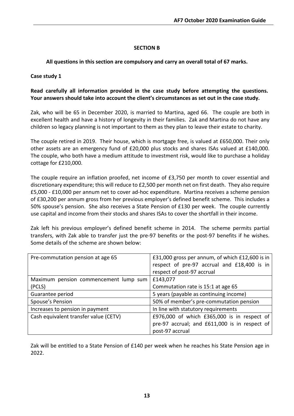#### **SECTION B**

**All questions in this section are compulsory and carry an overall total of 67 marks.**

#### **Case study 1**

#### **Read carefully all information provided in the case study before attempting the questions. Your answers should take into account the client's circumstances as set out in the case study.**

Zak, who will be 65 in December 2020, is married to Martina, aged 66. The couple are both in excellent health and have a history of longevity in their families. Zak and Martina do not have any children so legacy planning is not important to them as they plan to leave their estate to charity.

The couple retired in 2019. Their house, which is mortgage free, is valued at £650,000. Their only other assets are an emergency fund of £20,000 plus stocks and shares ISAs valued at £140,000. The couple, who both have a medium attitude to investment risk, would like to purchase a holiday cottage for £210,000.

The couple require an inflation proofed, net income of £3,750 per month to cover essential and discretionary expenditure; this will reduce to £2,500 per month net on first death. They also require £5,000 - £10,000 per annum net to cover ad-hoc expenditure. Martina receives a scheme pension of £30,200 per annum gross from her previous employer's defined benefit scheme. This includes a 50% spouse's pension. She also receives a State Pension of £130 per week. The couple currently use capital and income from their stocks and shares ISAs to cover the shortfall in their income.

Zak left his previous employer's defined benefit scheme in 2014. The scheme permits partial transfers, with Zak able to transfer just the pre-97 benefits or the post-97 benefits if he wishes. Some details of the scheme are shown below:

| Pre-commutation pension at age 65     | £31,000 gross per annum, of which £12,600 is in |  |
|---------------------------------------|-------------------------------------------------|--|
|                                       | respect of pre-97 accrual and £18,400 is in     |  |
|                                       | respect of post-97 accrual                      |  |
| Maximum pension commencement lump sum | £143,077                                        |  |
| (PCLS)                                | Commutation rate is 15:1 at age 65              |  |
| Guarantee period                      | 5 years (payable as continuing income)          |  |
| Spouse's Pension                      | 50% of member's pre-commutation pension         |  |
| Increases to pension in payment       | In line with statutory requirements             |  |
| Cash equivalent transfer value (CETV) | £976,000 of which £365,000 is in respect of     |  |
|                                       | pre-97 accrual; and £611,000 is in respect of   |  |
|                                       | post-97 accrual                                 |  |

Zak will be entitled to a State Pension of £140 per week when he reaches his State Pension age in 2022.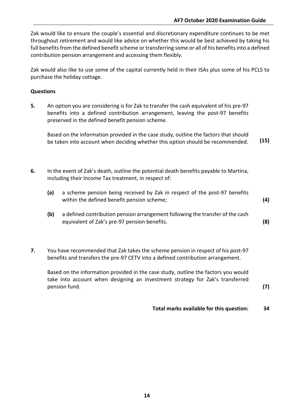Zak would like to ensure the couple's essential and discretionary expenditure continues to be met throughout retirement and would like advice on whether this would be best achieved by taking his full benefits from the defined benefit scheme or transferring some or all of his benefits into a defined contribution pension arrangement and accessing them flexibly.

Zak would also like to use some of the capital currently held in their ISAs plus some of his PCLS to purchase the holiday cottage.

#### **Questions**

**5.** An option you are considering is for Zak to transfer the cash equivalent of his pre-97 benefits into a defined contribution arrangement, leaving the post-97 benefits preserved in the defined benefit pension scheme.

Based on the information provided in the case study, outline the factors that should be taken into account when deciding whether this option should be recommended. **(15)**

- **6.** In the event of Zak's death, outline the potential death benefits payable to Martina, including their Income Tax treatment, in respect of:
	- **(a)** a scheme pension being received by Zak in respect of the post-97 benefits within the defined benefit pension scheme; **(4)**
	- **(b)** a defined contribution pension arrangement following the transfer of the cash equivalent of Zak's pre-97 pension benefits. **(8)**
- **7.** You have recommended that Zak takes the scheme pension in respect of his post-97 benefits and transfers the pre-97 CETV into a defined contribution arrangement.

Based on the information provided in the case study, outline the factors you would take into account when designing an investment strategy for Zak's transferred pension fund. **(7)**

**Total marks available for this question: 34**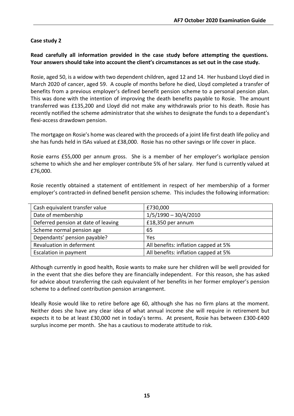#### **Case study 2**

**Read carefully all information provided in the case study before attempting the questions. Your answers should take into account the client's circumstances as set out in the case study.**

Rosie, aged 50, is a widow with two dependent children, aged 12 and 14. Her husband Lloyd died in March 2020 of cancer, aged 59. A couple of months before he died, Lloyd completed a transfer of benefits from a previous employer's defined benefit pension scheme to a personal pension plan. This was done with the intention of improving the death benefits payable to Rosie. The amount transferred was £135,200 and Lloyd did not make any withdrawals prior to his death. Rosie has recently notified the scheme administrator that she wishes to designate the funds to a dependant's flexi-access drawdown pension.

The mortgage on Rosie's home was cleared with the proceeds of a joint life first death life policy and she has funds held in ISAs valued at £38,000. Rosie has no other savings or life cover in place.

Rosie earns £55,000 per annum gross. She is a member of her employer's workplace pension scheme to which she and her employer contribute 5% of her salary. Her fund is currently valued at £76,000.

Rosie recently obtained a statement of entitlement in respect of her membership of a former employer's contracted-in defined benefit pension scheme. This includes the following information:

| Cash equivalent transfer value      | £730,000                             |
|-------------------------------------|--------------------------------------|
| Date of membership                  | $1/5/1990 - 30/4/2010$               |
| Deferred pension at date of leaving | £18,350 per annum                    |
| Scheme normal pension age           | 65                                   |
| Dependants' pension payable?        | Yes                                  |
| Revaluation in deferment            | All benefits: inflation capped at 5% |
| Escalation in payment               | All benefits: inflation capped at 5% |

Although currently in good health, Rosie wants to make sure her children will be well provided for in the event that she dies before they are financially independent. For this reason, she has asked for advice about transferring the cash equivalent of her benefits in her former employer's pension scheme to a defined contribution pension arrangement.

Ideally Rosie would like to retire before age 60, although she has no firm plans at the moment. Neither does she have any clear idea of what annual income she will require in retirement but expects it to be at least £30,000 net in today's terms. At present, Rosie has between £300-£400 surplus income per month. She has a cautious to moderate attitude to risk.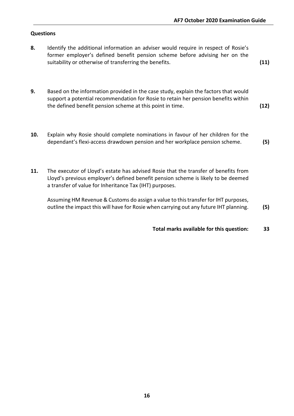#### **Questions**

- **8.** Identify the additional information an adviser would require in respect of Rosie's former employer's defined benefit pension scheme before advising her on the suitability or otherwise of transferring the benefits. **(11)**
- **9.** Based on the information provided in the case study, explain the factors that would support a potential recommendation for Rosie to retain her pension benefits within the defined benefit pension scheme at this point in time. **(12)**
- **10.** Explain why Rosie should complete nominations in favour of her children for the dependant's flexi-access drawdown pension and her workplace pension scheme. **(5)**
- **11.** The executor of Lloyd's estate has advised Rosie that the transfer of benefits from Lloyd's previous employer's defined benefit pension scheme is likely to be deemed a transfer of value for Inheritance Tax (IHT) purposes.

Assuming HM Revenue & Customs do assign a value to this transfer for IHT purposes, outline the impact this will have for Rosie when carrying out any future IHT planning. **(5)**

**Total marks available for this question: 33**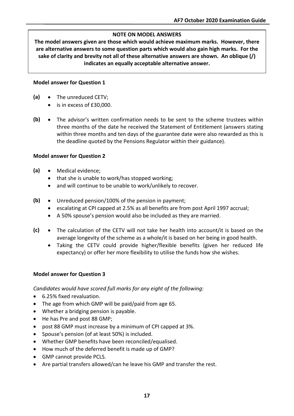#### **NOTE ON MODEL ANSWERS**

**The model answers given are those which would achieve maximum marks. However, there are alternative answers to some question parts which would also gain high marks. For the sake of clarity and brevity not all of these alternative answers are shown. An oblique (/) indicates an equally acceptable alternative answer.**

#### **Model answer for Question 1**

- **(a)** The unreduced CETV;
	- is in excess of £30,000.
- **(b)** The advisor's written confirmation needs to be sent to the scheme trustees within three months of the date he received the Statement of Entitlement (answers stating within three months and ten days of the guarantee date were also rewarded as this is the deadline quoted by the Pensions Regulator within their guidance).

#### **Model answer for Question 2**

- **(a)** Medical evidence;
	- that she is unable to work/has stopped working;
	- and will continue to be unable to work/unlikely to recover.
- **(b)** Unreduced pension/100% of the pension in payment;
	- escalating at CPI capped at 2.5% as all benefits are from post April 1997 accrual;
	- A 50% spouse's pension would also be included as they are married.
- **(c)** The calculation of the CETV will not take her health into account/it is based on the average longevity of the scheme as a whole/it is based on her being in good health.
	- Taking the CETV could provide higher/flexible benefits (given her reduced life expectancy) or offer her more flexibility to utilise the funds how she wishes.

#### **Model answer for Question 3**

*Candidates would have scored full marks for any eight of the following:*

- 6.25% fixed revaluation.
- The age from which GMP will be paid/paid from age 65.
- Whether a bridging pension is payable.
- He has Pre and post 88 GMP;
- post 88 GMP must increase by a minimum of CPI capped at 3%.
- Spouse's pension (of at least 50%) is included.
- Whether GMP benefits have been reconciled/equalised.
- How much of the deferred benefit is made up of GMP?
- GMP cannot provide PCLS.
- Are partial transfers allowed/can he leave his GMP and transfer the rest.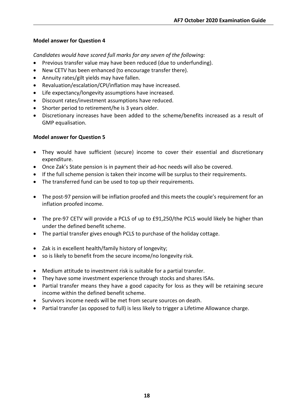*Candidates would have scored full marks for any seven of the following:*

- Previous transfer value may have been reduced (due to underfunding).
- New CETV has been enhanced (to encourage transfer there).
- Annuity rates/gilt yields may have fallen.
- Revaluation/escalation/CPI/inflation may have increased.
- Life expectancy/longevity assumptions have increased.
- Discount rates/investment assumptions have reduced.
- Shorter period to retirement/he is 3 years older.
- Discretionary increases have been added to the scheme/benefits increased as a result of GMP equalisation.

#### **Model answer for Question 5**

- They would have sufficient (secure) income to cover their essential and discretionary expenditure.
- Once Zak's State pension is in payment their ad-hoc needs will also be covered.
- If the full scheme pension is taken their income will be surplus to their requirements.
- The transferred fund can be used to top up their requirements.
- The post-97 pension will be inflation proofed and this meets the couple's requirement for an inflation proofed income.
- The pre-97 CETV will provide a PCLS of up to £91,250/the PCLS would likely be higher than under the defined benefit scheme.
- The partial transfer gives enough PCLS to purchase of the holiday cottage.
- Zak is in excellent health/family history of longevity;
- so is likely to benefit from the secure income/no longevity risk.
- Medium attitude to investment risk is suitable for a partial transfer.
- They have some investment experience through stocks and shares ISAs.
- Partial transfer means they have a good capacity for loss as they will be retaining secure income within the defined benefit scheme.
- Survivors income needs will be met from secure sources on death.
- Partial transfer (as opposed to full) is less likely to trigger a Lifetime Allowance charge.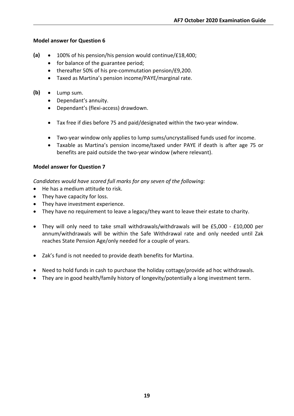- **(a)** 100% of his pension/his pension would continue/£18,400;
	- for balance of the guarantee period;
	- thereafter 50% of his pre-commutation pension/£9,200.
	- Taxed as Martina's pension income/PAYE/marginal rate.
- **(b)** Lump sum.
	- Dependant's annuity.
	- Dependant's (flexi-access) drawdown.
	- Tax free if dies before 75 and paid/designated within the two-year window.
	- Two-year window only applies to lump sums/uncrystallised funds used for income.
	- Taxable as Martina's pension income/taxed under PAYE if death is after age 75 or benefits are paid outside the two-year window (where relevant).

#### **Model answer for Question 7**

*Candidates would have scored full marks for any seven of the following:*

- He has a medium attitude to risk.
- They have capacity for loss.
- They have investment experience.
- They have no requirement to leave a legacy/they want to leave their estate to charity.
- They will only need to take small withdrawals/withdrawals will be £5,000 £10,000 per annum/withdrawals will be within the Safe Withdrawal rate and only needed until Zak reaches State Pension Age/only needed for a couple of years.
- Zak's fund is not needed to provide death benefits for Martina.
- Need to hold funds in cash to purchase the holiday cottage/provide ad hoc withdrawals.
- They are in good health/family history of longevity/potentially a long investment term.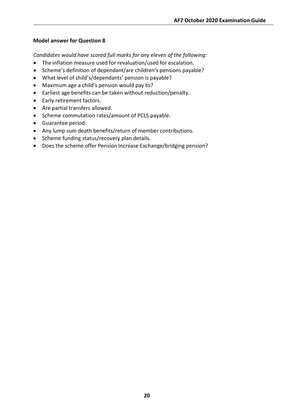*Candidates would have scored full marks for any eleven of the following:*

- The inflation measure used for revaluation/used for escalation.
- Scheme's definition of dependant/are children's pensions payable?
- What level of child's/dependants' pension is payable?
- Maximum age a child's pension would pay to?
- Earliest age benefits can be taken without reduction/penalty.
- Early retirement factors.
- Are partial transfers allowed.
- Scheme commutation rates/amount of PCLS payable.
- Guarantee period.
- Any lump sum death benefits/return of member contributions.
- Scheme funding status/recovery plan details.
- Does the scheme offer Pension Increase Exchange/bridging pension?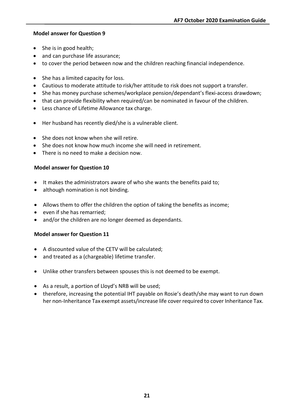- She is in good health;
- and can purchase life assurance;
- to cover the period between now and the children reaching financial independence.
- She has a limited capacity for loss.
- Cautious to moderate attitude to risk/her attitude to risk does not support a transfer.
- She has money purchase schemes/workplace pension/dependant's flexi-access drawdown;
- that can provide flexibility when required/can be nominated in favour of the children.
- Less chance of Lifetime Allowance tax charge.
- Her husband has recently died/she is a vulnerable client.
- She does not know when she will retire.
- She does not know how much income she will need in retirement.
- There is no need to make a decision now.

#### **Model answer for Question 10**

- It makes the administrators aware of who she wants the benefits paid to;
- although nomination is not binding.
- Allows them to offer the children the option of taking the benefits as income;
- even if she has remarried;
- and/or the children are no longer deemed as dependants.

#### **Model answer for Question 11**

- A discounted value of the CETV will be calculated;
- and treated as a (chargeable) lifetime transfer.
- Unlike other transfers between spouses this is not deemed to be exempt.
- As a result, a portion of Lloyd's NRB will be used;
- therefore, increasing the potential IHT payable on Rosie's death/she may want to run down her non-Inheritance Tax exempt assets/increase life cover required to cover Inheritance Tax.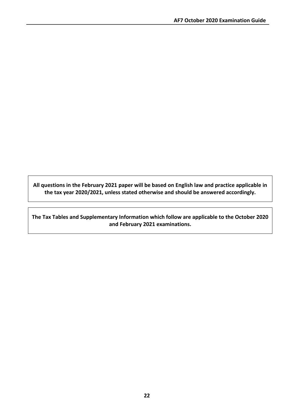**All questions in the February 2021 paper will be based on English law and practice applicable in the tax year 2020/2021, unless stated otherwise and should be answered accordingly.**

**The Tax Tables and Supplementary Information which follow are applicable to the October 2020 and February 2021 examinations.**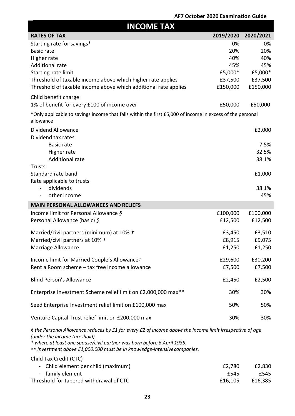| <b>INCOME TAX</b>                                                                                                                                                                                                    |           |              |  |
|----------------------------------------------------------------------------------------------------------------------------------------------------------------------------------------------------------------------|-----------|--------------|--|
| <b>RATES OF TAX</b>                                                                                                                                                                                                  | 2019/2020 | 2020/2021    |  |
| Starting rate for savings*                                                                                                                                                                                           | 0%        | 0%           |  |
| <b>Basic rate</b>                                                                                                                                                                                                    | 20%       | 20%          |  |
| Higher rate                                                                                                                                                                                                          | 40%       | 40%          |  |
| <b>Additional rate</b>                                                                                                                                                                                               | 45%       | 45%          |  |
| Starting-rate limit                                                                                                                                                                                                  | £5,000*   | £5,000*      |  |
| Threshold of taxable income above which higher rate applies                                                                                                                                                          | £37,500   | £37,500      |  |
| Threshold of taxable income above which additional rate applies                                                                                                                                                      | £150,000  | £150,000     |  |
| Child benefit charge:                                                                                                                                                                                                |           |              |  |
| 1% of benefit for every £100 of income over                                                                                                                                                                          | £50,000   | £50,000      |  |
| *Only applicable to savings income that falls within the first £5,000 of income in excess of the personal<br>allowance                                                                                               |           |              |  |
| Dividend Allowance                                                                                                                                                                                                   |           | £2,000       |  |
| Dividend tax rates                                                                                                                                                                                                   |           |              |  |
| <b>Basic rate</b>                                                                                                                                                                                                    |           | 7.5%         |  |
| Higher rate                                                                                                                                                                                                          |           | 32.5%        |  |
| Additional rate                                                                                                                                                                                                      |           | 38.1%        |  |
| <b>Trusts</b>                                                                                                                                                                                                        |           |              |  |
| Standard rate band                                                                                                                                                                                                   |           | £1,000       |  |
| Rate applicable to trusts                                                                                                                                                                                            |           |              |  |
| dividends<br>other income<br>$\blacksquare$                                                                                                                                                                          |           | 38.1%<br>45% |  |
|                                                                                                                                                                                                                      |           |              |  |
| <b>MAIN PERSONAL ALLOWANCES AND RELIEFS</b>                                                                                                                                                                          |           |              |  |
| Income limit for Personal Allowance §                                                                                                                                                                                | £100,000  | £100,000     |  |
| Personal Allowance (basic) §                                                                                                                                                                                         | £12,500   | £12,500      |  |
| Married/civil partners (minimum) at 10% t                                                                                                                                                                            | £3,450    | £3,510       |  |
| Married/civil partners at 10% t                                                                                                                                                                                      | £8,915    | £9,075       |  |
| Marriage Allowance                                                                                                                                                                                                   | £1,250    | £1,250       |  |
|                                                                                                                                                                                                                      | £29,600   |              |  |
| Income limit for Married Couple's Allowance +<br>Rent a Room scheme - tax free income allowance                                                                                                                      |           | £30,200      |  |
|                                                                                                                                                                                                                      | £7,500    | £7,500       |  |
| <b>Blind Person's Allowance</b>                                                                                                                                                                                      | £2,450    | £2,500       |  |
| Enterprise Investment Scheme relief limit on £2,000,000 max**                                                                                                                                                        | 30%       | 30%          |  |
| Seed Enterprise Investment relief limit on £100,000 max                                                                                                                                                              | 50%       | 50%          |  |
| Venture Capital Trust relief limit on £200,000 max                                                                                                                                                                   | 30%       | 30%          |  |
| § the Personal Allowance reduces by £1 for every £2 of income above the income limit irrespective of age<br>(under the income threshold).<br>t where at least one spouse/civil partner was born before 6 April 1935. |           |              |  |

*\*\* Investment above £1,000,000 must be in knowledge-intensivecompanies.*

Child Tax Credit (CTC)

| - Child element per child (maximum)     | £2,780  | £2,830  |
|-----------------------------------------|---------|---------|
| - family element                        | £545    | £545    |
| Threshold for tapered withdrawal of CTC | £16.105 | £16.385 |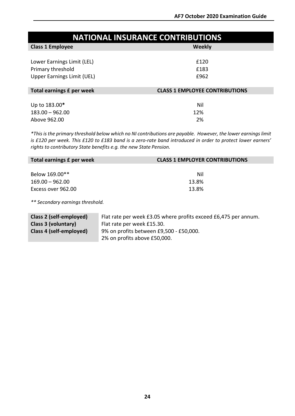| <b>NATIONAL INSURANCE CONTRIBUTIONS</b>                                       |                                       |  |
|-------------------------------------------------------------------------------|---------------------------------------|--|
| <b>Class 1 Employee</b>                                                       | Weekly                                |  |
| Lower Earnings Limit (LEL)<br>Primary threshold<br>Upper Earnings Limit (UEL) | £120<br>£183<br>£962                  |  |
| Total earnings £ per week                                                     | <b>CLASS 1 EMPLOYEE CONTRIBUTIONS</b> |  |
| Up to 183.00*                                                                 | Nil                                   |  |
| $183.00 - 962.00$<br>Above 962.00                                             | 12%<br>2%                             |  |

\*This is the primary threshold below which no NI contributions are payable. However, the lower earnings limit *is £120 per week. This £120 to £183 band is a zero-rate band introduced in order to protect lower earners' rights to contributory State benefits e.g. the new State Pension.*

| Total earnings £ per week | <b>CLASS 1 EMPLOYER CONTRIBUTIONS</b> |
|---------------------------|---------------------------------------|
|                           |                                       |
| Below 169.00**            | Nil                                   |
| $169.00 - 962.00$         | 13.8%                                 |
| Excess over 962.00        | 13.8%                                 |
|                           |                                       |

*\*\* Secondary earnings threshold.*

| Class 2 (self-employed) | Flat rate per week £3.05 where profits exceed £6,475 per annum. |
|-------------------------|-----------------------------------------------------------------|
| Class 3 (voluntary)     | Flat rate per week £15.30.                                      |
| Class 4 (self-employed) | 9% on profits between £9,500 - £50,000.                         |
|                         | 2% on profits above £50,000.                                    |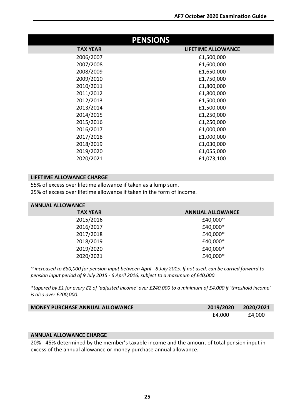| <b>PENSIONS</b> |                           |  |
|-----------------|---------------------------|--|
| <b>TAX YEAR</b> | <b>LIFETIME ALLOWANCE</b> |  |
| 2006/2007       | £1,500,000                |  |
| 2007/2008       | £1,600,000                |  |
| 2008/2009       | £1,650,000                |  |
| 2009/2010       | £1,750,000                |  |
| 2010/2011       | £1,800,000                |  |
| 2011/2012       | £1,800,000                |  |
| 2012/2013       | £1,500,000                |  |
| 2013/2014       | £1,500,000                |  |
| 2014/2015       | £1,250,000                |  |
| 2015/2016       | £1,250,000                |  |
| 2016/2017       | £1,000,000                |  |
| 2017/2018       | £1,000,000                |  |
| 2018/2019       | £1,030,000                |  |
| 2019/2020       | £1,055,000                |  |
| 2020/2021       | £1,073,100                |  |

#### **LIFETIME ALLOWANCE CHARGE**

55% of excess over lifetime allowance if taken as a lump sum. 25% of excess over lifetime allowance if taken in the form of income.

| <b>ANNUAL ALLOWANCE</b> |
|-------------------------|
| £40,000~                |
| £40,000*                |
| £40,000*                |
| £40,000*                |
| £40,000*                |
| £40,000*                |
|                         |

*~ increased to £80,000 for pension input between April - 8 July 2015. If not used, can be carried forward to pension input period of 9 July 2015 - 6 April 2016, subject to a maximum of £40,000.*

*\*tapered by £1 for every £2 of 'adjusted income' over £240,000 to a minimum of £4,000 if 'threshold income' is also over £200,000.*

| <b>MONEY PURCHASE ANNUAL ALLOWANCE</b> | 2019/2020 2020/2021 |        |
|----------------------------------------|---------------------|--------|
|                                        | £4.000              | £4,000 |

#### **ANNUAL ALLOWANCE CHARGE**

20% - 45% determined by the member's taxable income and the amount of total pension input in excess of the annual allowance or money purchase annual allowance.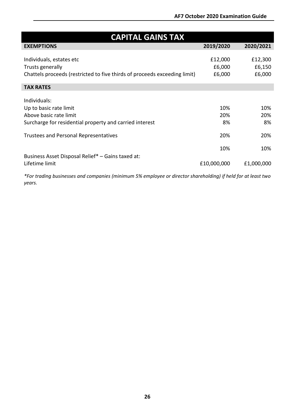| <b>CAPITAL GAINS TAX</b>                                                  |             |            |  |
|---------------------------------------------------------------------------|-------------|------------|--|
| <b>EXEMPTIONS</b>                                                         | 2019/2020   | 2020/2021  |  |
|                                                                           |             |            |  |
| Individuals, estates etc                                                  | £12,000     | £12,300    |  |
| Trusts generally                                                          | £6,000      | £6,150     |  |
| Chattels proceeds (restricted to five thirds of proceeds exceeding limit) | £6,000      | £6,000     |  |
|                                                                           |             |            |  |
| <b>TAX RATES</b>                                                          |             |            |  |
|                                                                           |             |            |  |
| Individuals:                                                              |             |            |  |
| Up to basic rate limit                                                    | 10%         | 10%        |  |
| Above basic rate limit                                                    | 20%         | 20%        |  |
| Surcharge for residential property and carried interest                   | 8%          | 8%         |  |
|                                                                           |             |            |  |
| <b>Trustees and Personal Representatives</b>                              | 20%         | 20%        |  |
|                                                                           |             |            |  |
|                                                                           | 10%         | 10%        |  |
| Business Asset Disposal Relief* - Gains taxed at:                         |             |            |  |
| Lifetime limit                                                            | £10,000,000 | £1,000,000 |  |

*\*For trading businesses and companies (minimum 5% employee or director shareholding) if held for at least two years.*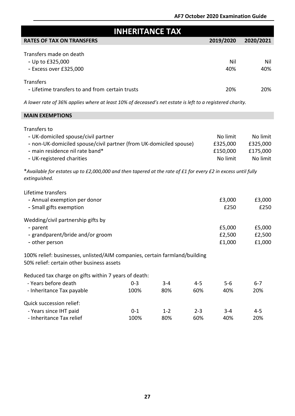| <b>INHERITANCE TAX</b>                                                                                                                                                                                                                                                                                                                                                                                                                                         |                 |                |                |                                                                          |                                                                          |
|----------------------------------------------------------------------------------------------------------------------------------------------------------------------------------------------------------------------------------------------------------------------------------------------------------------------------------------------------------------------------------------------------------------------------------------------------------------|-----------------|----------------|----------------|--------------------------------------------------------------------------|--------------------------------------------------------------------------|
| <b>RATES OF TAX ON TRANSFERS</b>                                                                                                                                                                                                                                                                                                                                                                                                                               |                 |                |                | 2019/2020                                                                | 2020/2021                                                                |
| Transfers made on death<br>- Up to £325,000<br>- Excess over £325,000                                                                                                                                                                                                                                                                                                                                                                                          |                 |                |                | Nil<br>40%                                                               | Nil<br>40%                                                               |
| Transfers<br>- Lifetime transfers to and from certain trusts                                                                                                                                                                                                                                                                                                                                                                                                   |                 |                |                | 20%                                                                      | 20%                                                                      |
| A lower rate of 36% applies where at least 10% of deceased's net estate is left to a registered charity.                                                                                                                                                                                                                                                                                                                                                       |                 |                |                |                                                                          |                                                                          |
| <b>MAIN EXEMPTIONS</b>                                                                                                                                                                                                                                                                                                                                                                                                                                         |                 |                |                |                                                                          |                                                                          |
| Transfers to<br>- UK-domiciled spouse/civil partner<br>- non-UK-domiciled spouse/civil partner (from UK-domiciled spouse)<br>- main residence nil rate band*<br>- UK-registered charities<br>*Available for estates up to £2,000,000 and then tapered at the rate of £1 for every £2 in excess until fully<br>extinguished.<br>Lifetime transfers<br>- Annual exemption per donor<br>- Small gifts exemption<br>Wedding/civil partnership gifts by<br>- parent |                 |                |                | No limit<br>£325,000<br>£150,000<br>No limit<br>£3,000<br>£250<br>£5,000 | No limit<br>£325,000<br>£175,000<br>No limit<br>£3,000<br>£250<br>£5,000 |
| - grandparent/bride and/or groom                                                                                                                                                                                                                                                                                                                                                                                                                               |                 |                |                | £2,500                                                                   | £2,500                                                                   |
| £1,000<br>£1,000<br>- other person<br>100% relief: businesses, unlisted/AIM companies, certain farmland/building<br>50% relief: certain other business assets<br>Reduced tax charge on gifts within 7 years of death:<br>- Years before death<br>$0 - 3$<br>$4 - 5$<br>$5-6$<br>$6 - 7$<br>$3 - 4$<br>20%<br>- Inheritance Tax payable<br>100%<br>80%<br>60%<br>40%                                                                                            |                 |                |                |                                                                          |                                                                          |
| Quick succession relief:<br>- Years since IHT paid<br>- Inheritance Tax relief                                                                                                                                                                                                                                                                                                                                                                                 | $0 - 1$<br>100% | $1 - 2$<br>80% | $2 - 3$<br>60% | $3 - 4$<br>40%                                                           | $4 - 5$<br>20%                                                           |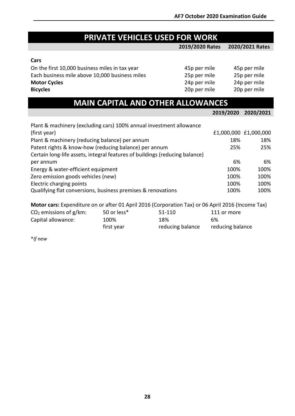### **PRIVATE VEHICLES USED FOR WORK**

#### **2019/2020 Rates 2020/2021 Rates**

#### **Cars**

| On the first 10,000 business miles in tax year | 45p per mile | 45p per mile |
|------------------------------------------------|--------------|--------------|
| Each business mile above 10,000 business miles | 25p per mile | 25p per mile |
| <b>Motor Cycles</b>                            | 24p per mile | 24p per mile |
| <b>Bicycles</b>                                | 20p per mile | 20p per mile |

| <b>MAIN CAPITAL AND OTHER ALLOWANCES</b>                                                                                             |           |                       |
|--------------------------------------------------------------------------------------------------------------------------------------|-----------|-----------------------|
|                                                                                                                                      | 2019/2020 | 2020/2021             |
| Plant & machinery (excluding cars) 100% annual investment allowance                                                                  |           |                       |
| (first year)                                                                                                                         |           | £1,000,000 £1,000,000 |
| Plant & machinery (reducing balance) per annum                                                                                       | 18%       | 18%                   |
| Patent rights & know-how (reducing balance) per annum<br>Certain long-life assets, integral features of buildings (reducing balance) | 25%       | 25%                   |
| per annum                                                                                                                            | 6%        | 6%                    |
| Energy & water-efficient equipment                                                                                                   | 100%      | 100%                  |
| Zero emission goods vehicles (new)                                                                                                   | 100%      | 100%                  |
| Electric charging points                                                                                                             | 100%      | 100%                  |
| Qualifying flat conversions, business premises & renovations                                                                         | 100%      | 100%                  |

| Motor cars: Expenditure on or after 01 April 2016 (Corporation Tax) or 06 April 2016 (Income Tax) |  |  |  |  |
|---------------------------------------------------------------------------------------------------|--|--|--|--|
|---------------------------------------------------------------------------------------------------|--|--|--|--|

| $CO2$ emissions of g/km: | 50 or less* | 51-110           | 111 or more      |
|--------------------------|-------------|------------------|------------------|
| Capital allowance:       | 100%        | 18%              | 6%               |
|                          | first year  | reducing balance | reducing balance |

\**If new*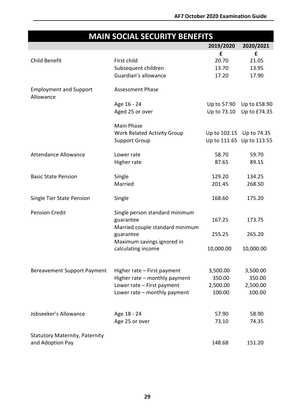## **MAIN SOCIAL SECURITY BENEFITS**

|                                            |                                    | 2019/2020                 | 2020/2021    |
|--------------------------------------------|------------------------------------|---------------------------|--------------|
|                                            |                                    | £                         | £            |
| <b>Child Benefit</b>                       | First child                        | 20.70                     | 21.05        |
|                                            | Subsequent children                | 13.70                     | 13.95        |
|                                            | Guardian's allowance               | 17.20                     | 17.90        |
| <b>Employment and Support</b><br>Allowance | <b>Assessment Phase</b>            |                           |              |
|                                            | Age 16 - 24                        | Up to 57.90               | Up to £58.90 |
|                                            | Aged 25 or over                    | Up to 73.10               | Up to £74.35 |
|                                            | Main Phase                         |                           |              |
|                                            | <b>Work Related Activity Group</b> | Up to 102.15 Up to 74.35  |              |
|                                            | <b>Support Group</b>               | Up to 111.65 Up to 113.55 |              |
| <b>Attendance Allowance</b>                | Lower rate                         | 58.70                     | 59.70        |
|                                            | Higher rate                        | 87.65                     | 89.15        |
| <b>Basic State Pension</b>                 | Single                             | 129.20                    | 134.25       |
|                                            | Married                            | 201.45                    | 268.50       |
| Single Tier State Pension                  | Single                             | 168.60                    | 175.20       |
| <b>Pension Credit</b>                      | Single person standard minimum     |                           |              |
|                                            | guarantee                          | 167.25                    | 173.75       |
|                                            | Married couple standard minimum    |                           |              |
|                                            | guarantee                          | 255.25                    | 265.20       |
|                                            | Maximum savings ignored in         |                           |              |
|                                            | calculating income                 | 10,000.00                 | 10,000.00    |
| <b>Bereavement Support Payment</b>         | Higher rate - First payment        | 3,500.00                  | 3,500.00     |
|                                            | Higher rate - monthly payment      | 350.00                    | 350.00       |
|                                            | Lower rate - First payment         | 2,500.00                  | 2,500.00     |
|                                            | Lower rate - monthly payment       | 100.00                    | 100.00       |
|                                            |                                    |                           |              |
| Jobseeker's Allowance                      | Age 18 - 24                        | 57.90                     | 58.90        |
|                                            | Age 25 or over                     | 73.10                     | 74.35        |
| <b>Statutory Maternity, Paternity</b>      |                                    |                           |              |
| and Adoption Pay                           |                                    | 148.68                    | 151.20       |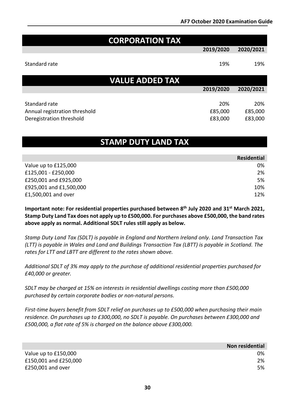| <b>CORPORATION TAX</b>                                    |                    |                    |
|-----------------------------------------------------------|--------------------|--------------------|
|                                                           | 2019/2020          | 2020/2021          |
| Standard rate                                             | 19%                | 19%                |
| <b>VALUE ADDED TAX</b>                                    |                    |                    |
|                                                           | 2019/2020          | 2020/2021          |
| Standard rate                                             | 20%                | 20%                |
| Annual registration threshold<br>Deregistration threshold | £85,000<br>£83,000 | £85,000<br>£83,000 |

### **STAMP DUTY LAND TAX**

|                         | <b>Residential</b> |
|-------------------------|--------------------|
| Value up to £125,000    | 0%                 |
| £125,001 - £250,000     | 2%                 |
| £250,001 and £925,000   | 5%                 |
| £925,001 and £1,500,000 | 10%                |
| £1,500,001 and over     | 12%                |

**Important note: For residential properties purchased between 8th July 2020 and 31st March 2021, Stamp Duty Land Tax does not apply up to £500,000. For purchases above £500,000, the band rates above apply as normal. Additional SDLT rules still apply as below.**

*Stamp Duty Land Tax (SDLT) is payable in England and Northern Ireland only. Land Transaction Tax (LTT) is payable in Wales and Land and Buildings Transaction Tax (LBTT) is payable in Scotland. The rates for LTT and LBTT are different to the rates shown above.*

*Additional SDLT of 3% may apply to the purchase of additional residential properties purchased for £40,000 or greater.*

*SDLT may be charged at 15% on interests in residential dwellings costing more than £500,000 purchased by certain corporate bodies or non-natural persons.*

*First-time buyers benefit from SDLT relief on purchases up to £500,000 when purchasing their main residence. On purchases up to £300,000, no SDLT is payable. On purchases between £300,000 and £500,000, a flat rate of 5% is charged on the balance above £300,000.*

|                       | Non residential |
|-----------------------|-----------------|
| Value up to £150,000  | 0%              |
| £150,001 and £250,000 | 2%              |
| £250,001 and over     | 5%              |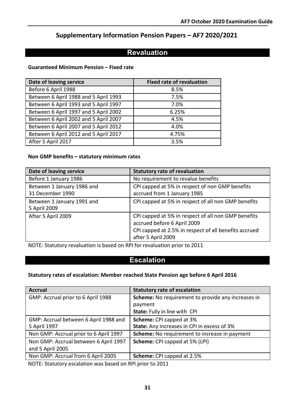### **Supplementary Information Pension Papers – AF7 2020/2021**

### **Revaluation**

#### **Guaranteed Minimum Pension – Fixed rate**

| Date of leaving service               | <b>Fixed rate of revaluation</b> |
|---------------------------------------|----------------------------------|
| Before 6 April 1988                   | 8.5%                             |
| Between 6 April 1988 and 5 April 1993 | 7.5%                             |
| Between 6 April 1993 and 5 April 1997 | 7.0%                             |
| Between 6 April 1997 and 5 April 2002 | 6.25%                            |
| Between 6 April 2002 and 5 April 2007 | 4.5%                             |
| Between 6 April 2007 and 5 April 2012 | 4.0%                             |
| Between 6 April 2012 and 5 April 2017 | 4.75%                            |
| After 5 April 2017                    | 3.5%                             |

#### **Non GMP benefits – statutory minimum rates**

| Date of leaving service                        | <b>Statutory rate of revaluation</b>                                                                                                                              |
|------------------------------------------------|-------------------------------------------------------------------------------------------------------------------------------------------------------------------|
| Before 1 January 1986                          | No requirement to revalue benefits                                                                                                                                |
| Between 1 January 1986 and<br>31 December 1990 | CPI capped at 5% in respect of non GMP benefits<br>accrued from 1 January 1985                                                                                    |
| Between 1 January 1991 and<br>5 April 2009     | CPI capped at 5% in respect of all non GMP benefits                                                                                                               |
| After 5 April 2009                             | CPI capped at 5% in respect of all non GMP benefits<br>accrued before 6 April 2009<br>CPI capped at 2.5% in respect of all benefits accrued<br>after 5 April 2009 |

NOTE: Statutory revaluation is based on RPI for revaluation prior to 2011

### **Escalation**

#### **Statutory rates of escalation: Member reached State Pension age before 6 April 2016**

| <b>Accrual</b>                         | <b>Statutory rate of escalation</b>                |
|----------------------------------------|----------------------------------------------------|
| GMP: Accrual prior to 6 April 1988     | Scheme: No requirement to provide any increases in |
|                                        | payment                                            |
|                                        | State: Fully in line with CPI                      |
| GMP: Accrual between 6 April 1988 and  | <b>Scheme:</b> CPI capped at 3%                    |
| 5 April 1997                           | <b>State:</b> Any increases in CPI in excess of 3% |
| Non GMP: Accrual prior to 6 April 1997 | Scheme: No requirement to increase in payment      |
| Non GMP: Accrual between 6 April 1997  | Scheme: CPI capped at 5% (LPI)                     |
| and 5 April 2005                       |                                                    |
| Non GMP: Accrual from 6 April 2005     | Scheme: CPI capped at 2.5%                         |

NOTE: Statutory escalation was based on RPI prior to 2011